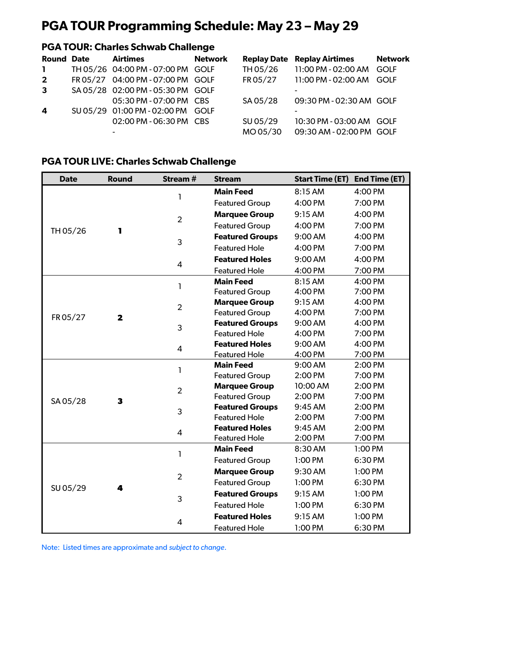# **PGA TOUR Programming Schedule: May 23 – May 29**

## **PGA TOUR: Charles Schwab Challenge**

| <b>Round Date</b> | Airtimes                          | <b>Network</b> |          | <b>Replay Date Replay Airtimes</b> | <b>Network</b> |
|-------------------|-----------------------------------|----------------|----------|------------------------------------|----------------|
| $\mathbf{1}$      | TH 05/26 04:00 PM - 07:00 PM GOLF |                | TH 05/26 | 11:00 PM - 02:00 AM                | GOLF           |
| $2^{\circ}$       | FR 05/27 04:00 PM - 07:00 PM GOLF |                | FR 05/27 | 11:00 PM - 02:00 AM                | GOLF           |
| $\mathbf{3}$      | SA 05/28 02:00 PM - 05:30 PM GOLF |                |          |                                    |                |
|                   | 05:30 PM - 07:00 PM CBS           |                | SA 05/28 | 09:30 PM - 02:30 AM GOLF           |                |
| 4                 | SU 05/29 01:00 PM - 02:00 PM GOLF |                |          |                                    |                |
|                   | 02:00 PM - 06:30 PM CBS           |                | SU 05/29 | 10:30 PM - 03:00 AM GOLF           |                |
|                   |                                   |                | MO 05/30 | 09:30 AM - 02:00 PM GOLF           |                |

#### **PGA TOUR LIVE: Charles Schwab Challenge**

| <b>Date</b>                                                                                     | <b>Round</b>                                                                                                 | Stream # | <b>Stream</b>                                                                                                                                                                                                                                                                                                                                                                                                                                                                                                                                                                                                                                                                                                                                                                                                                                                                                                                                                                                                                                                                                                                                                                           | <b>Start Time (ET)</b> | End Time (ET) |
|-------------------------------------------------------------------------------------------------|--------------------------------------------------------------------------------------------------------------|----------|-----------------------------------------------------------------------------------------------------------------------------------------------------------------------------------------------------------------------------------------------------------------------------------------------------------------------------------------------------------------------------------------------------------------------------------------------------------------------------------------------------------------------------------------------------------------------------------------------------------------------------------------------------------------------------------------------------------------------------------------------------------------------------------------------------------------------------------------------------------------------------------------------------------------------------------------------------------------------------------------------------------------------------------------------------------------------------------------------------------------------------------------------------------------------------------------|------------------------|---------------|
|                                                                                                 |                                                                                                              |          | <b>Main Feed</b>                                                                                                                                                                                                                                                                                                                                                                                                                                                                                                                                                                                                                                                                                                                                                                                                                                                                                                                                                                                                                                                                                                                                                                        | 8:15 AM                | 4:00 PM       |
|                                                                                                 |                                                                                                              |          | <b>Featured Group</b>                                                                                                                                                                                                                                                                                                                                                                                                                                                                                                                                                                                                                                                                                                                                                                                                                                                                                                                                                                                                                                                                                                                                                                   | 4:00 PM                | 7:00 PM       |
|                                                                                                 |                                                                                                              |          | <b>Marquee Group</b>                                                                                                                                                                                                                                                                                                                                                                                                                                                                                                                                                                                                                                                                                                                                                                                                                                                                                                                                                                                                                                                                                                                                                                    | 9:15 AM                | 4:00 PM       |
|                                                                                                 |                                                                                                              |          | Featured Group                                                                                                                                                                                                                                                                                                                                                                                                                                                                                                                                                                                                                                                                                                                                                                                                                                                                                                                                                                                                                                                                                                                                                                          | 4:00 PM                | 7:00 PM       |
|                                                                                                 |                                                                                                              |          | <b>Featured Groups</b>                                                                                                                                                                                                                                                                                                                                                                                                                                                                                                                                                                                                                                                                                                                                                                                                                                                                                                                                                                                                                                                                                                                                                                  | 9:00 AM                | 4:00 PM       |
|                                                                                                 |                                                                                                              |          | <b>Featured Hole</b>                                                                                                                                                                                                                                                                                                                                                                                                                                                                                                                                                                                                                                                                                                                                                                                                                                                                                                                                                                                                                                                                                                                                                                    | 4:00 PM                | 7:00 PM       |
|                                                                                                 |                                                                                                              |          | <b>Featured Holes</b>                                                                                                                                                                                                                                                                                                                                                                                                                                                                                                                                                                                                                                                                                                                                                                                                                                                                                                                                                                                                                                                                                                                                                                   | 9:00 AM                | 4:00 PM       |
|                                                                                                 |                                                                                                              |          | 4:00 PM<br>7:00 PM<br><b>Featured Hole</b><br><b>Main Feed</b><br>8:15 AM<br>4:00 PM<br>7:00 PM<br><b>Featured Group</b><br>4:00 PM<br>9:15 AM<br>4:00 PM<br><b>Marquee Group</b><br><b>Featured Group</b><br>4:00 PM<br>7:00 PM<br><b>Featured Groups</b><br>9:00 AM<br>4:00 PM<br><b>Featured Hole</b><br>4:00 PM<br>7:00 PM<br><b>Featured Holes</b><br>9:00 AM<br>4:00 PM<br><b>Featured Hole</b><br>4:00 PM<br>7:00 PM<br><b>Main Feed</b><br>9:00 AM<br>2:00 PM<br>2:00 PM<br>7:00 PM<br><b>Featured Group</b><br>10:00 AM<br><b>Marquee Group</b><br>2:00 PM<br>Featured Group<br>2:00 PM<br>7:00 PM<br><b>Featured Groups</b><br>9:45 AM<br>2:00 PM<br><b>Featured Hole</b><br>2:00 PM<br>7:00 PM<br><b>Featured Holes</b><br>9:45 AM<br>2:00 PM<br><b>Featured Hole</b><br>2:00 PM<br>7:00 PM<br><b>Main Feed</b><br>8:30 AM<br>1:00 PM<br>1:00 PM<br>6:30 PM<br><b>Featured Group</b><br><b>Marquee Group</b><br>9:30 AM<br>1:00 PM<br><b>Featured Group</b><br>1:00 PM<br>6:30 PM<br>9:15 AM<br><b>Featured Groups</b><br>1:00 PM<br><b>Featured Hole</b><br>1:00 PM<br>6:30 PM<br>9:15 AM<br>1:00 PM<br><b>Featured Holes</b><br>1:00 PM<br>6:30 PM<br><b>Featured Hole</b> |                        |               |
|                                                                                                 |                                                                                                              |          |                                                                                                                                                                                                                                                                                                                                                                                                                                                                                                                                                                                                                                                                                                                                                                                                                                                                                                                                                                                                                                                                                                                                                                                         |                        |               |
|                                                                                                 |                                                                                                              |          |                                                                                                                                                                                                                                                                                                                                                                                                                                                                                                                                                                                                                                                                                                                                                                                                                                                                                                                                                                                                                                                                                                                                                                                         |                        |               |
| ı<br>TH 05/26<br>П<br>L<br>FR 05/27<br>$\mathbf{2}$<br>L<br>SA 05/28<br>3<br>ı<br>SU 05/29<br>4 |                                                                                                              |          |                                                                                                                                                                                                                                                                                                                                                                                                                                                                                                                                                                                                                                                                                                                                                                                                                                                                                                                                                                                                                                                                                                                                                                                         |                        |               |
|                                                                                                 | $\overline{2}$<br>3<br>4<br>$\overline{2}$<br>3<br>4<br>$\overline{2}$<br>3<br>4<br>$\overline{2}$<br>3<br>4 |          |                                                                                                                                                                                                                                                                                                                                                                                                                                                                                                                                                                                                                                                                                                                                                                                                                                                                                                                                                                                                                                                                                                                                                                                         |                        |               |
|                                                                                                 |                                                                                                              |          |                                                                                                                                                                                                                                                                                                                                                                                                                                                                                                                                                                                                                                                                                                                                                                                                                                                                                                                                                                                                                                                                                                                                                                                         |                        |               |
|                                                                                                 |                                                                                                              |          |                                                                                                                                                                                                                                                                                                                                                                                                                                                                                                                                                                                                                                                                                                                                                                                                                                                                                                                                                                                                                                                                                                                                                                                         |                        |               |
|                                                                                                 |                                                                                                              |          |                                                                                                                                                                                                                                                                                                                                                                                                                                                                                                                                                                                                                                                                                                                                                                                                                                                                                                                                                                                                                                                                                                                                                                                         |                        |               |
|                                                                                                 |                                                                                                              |          |                                                                                                                                                                                                                                                                                                                                                                                                                                                                                                                                                                                                                                                                                                                                                                                                                                                                                                                                                                                                                                                                                                                                                                                         |                        |               |
|                                                                                                 |                                                                                                              |          |                                                                                                                                                                                                                                                                                                                                                                                                                                                                                                                                                                                                                                                                                                                                                                                                                                                                                                                                                                                                                                                                                                                                                                                         |                        |               |
|                                                                                                 |                                                                                                              |          |                                                                                                                                                                                                                                                                                                                                                                                                                                                                                                                                                                                                                                                                                                                                                                                                                                                                                                                                                                                                                                                                                                                                                                                         |                        |               |
|                                                                                                 |                                                                                                              |          |                                                                                                                                                                                                                                                                                                                                                                                                                                                                                                                                                                                                                                                                                                                                                                                                                                                                                                                                                                                                                                                                                                                                                                                         |                        |               |
|                                                                                                 |                                                                                                              |          |                                                                                                                                                                                                                                                                                                                                                                                                                                                                                                                                                                                                                                                                                                                                                                                                                                                                                                                                                                                                                                                                                                                                                                                         |                        |               |
|                                                                                                 |                                                                                                              |          |                                                                                                                                                                                                                                                                                                                                                                                                                                                                                                                                                                                                                                                                                                                                                                                                                                                                                                                                                                                                                                                                                                                                                                                         |                        |               |
|                                                                                                 |                                                                                                              |          |                                                                                                                                                                                                                                                                                                                                                                                                                                                                                                                                                                                                                                                                                                                                                                                                                                                                                                                                                                                                                                                                                                                                                                                         |                        |               |
|                                                                                                 |                                                                                                              |          |                                                                                                                                                                                                                                                                                                                                                                                                                                                                                                                                                                                                                                                                                                                                                                                                                                                                                                                                                                                                                                                                                                                                                                                         |                        |               |
|                                                                                                 |                                                                                                              |          |                                                                                                                                                                                                                                                                                                                                                                                                                                                                                                                                                                                                                                                                                                                                                                                                                                                                                                                                                                                                                                                                                                                                                                                         |                        |               |
|                                                                                                 |                                                                                                              |          |                                                                                                                                                                                                                                                                                                                                                                                                                                                                                                                                                                                                                                                                                                                                                                                                                                                                                                                                                                                                                                                                                                                                                                                         |                        |               |
|                                                                                                 |                                                                                                              |          |                                                                                                                                                                                                                                                                                                                                                                                                                                                                                                                                                                                                                                                                                                                                                                                                                                                                                                                                                                                                                                                                                                                                                                                         |                        |               |
|                                                                                                 |                                                                                                              |          |                                                                                                                                                                                                                                                                                                                                                                                                                                                                                                                                                                                                                                                                                                                                                                                                                                                                                                                                                                                                                                                                                                                                                                                         |                        |               |
|                                                                                                 |                                                                                                              |          |                                                                                                                                                                                                                                                                                                                                                                                                                                                                                                                                                                                                                                                                                                                                                                                                                                                                                                                                                                                                                                                                                                                                                                                         |                        |               |
|                                                                                                 |                                                                                                              |          |                                                                                                                                                                                                                                                                                                                                                                                                                                                                                                                                                                                                                                                                                                                                                                                                                                                                                                                                                                                                                                                                                                                                                                                         |                        |               |
|                                                                                                 |                                                                                                              |          |                                                                                                                                                                                                                                                                                                                                                                                                                                                                                                                                                                                                                                                                                                                                                                                                                                                                                                                                                                                                                                                                                                                                                                                         |                        |               |
|                                                                                                 |                                                                                                              |          |                                                                                                                                                                                                                                                                                                                                                                                                                                                                                                                                                                                                                                                                                                                                                                                                                                                                                                                                                                                                                                                                                                                                                                                         |                        |               |
|                                                                                                 |                                                                                                              |          |                                                                                                                                                                                                                                                                                                                                                                                                                                                                                                                                                                                                                                                                                                                                                                                                                                                                                                                                                                                                                                                                                                                                                                                         |                        |               |

Note: Listed times are approximate and *subject to change*.